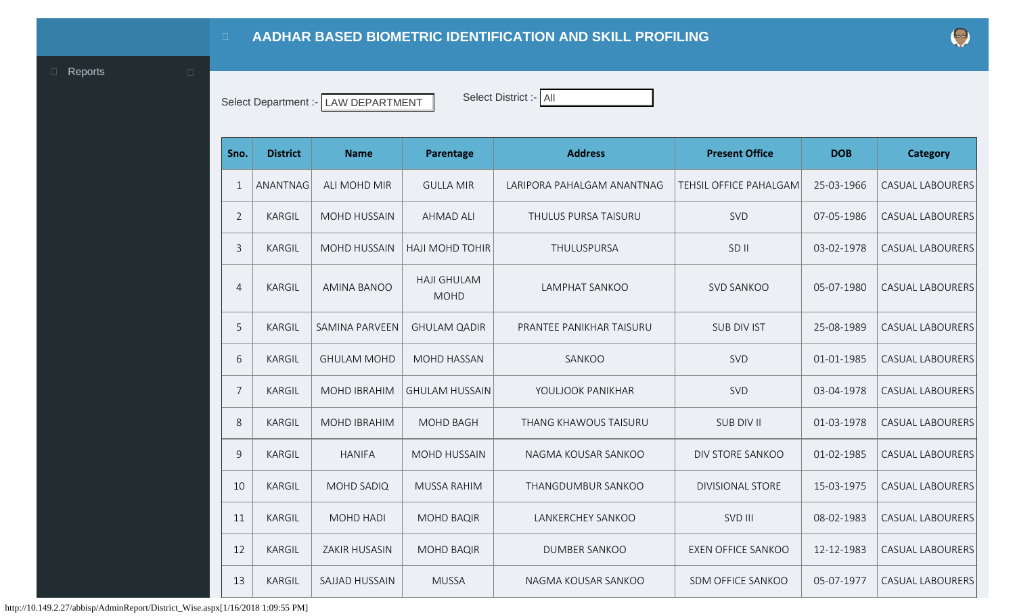<span id="page-0-0"></span>**D** [Reports](#page-0-0) **D** 

Select Department :- LAW DEPARTMENT Select District :- All

|  | Select Department :-   LAW DEPARTMENT |
|--|---------------------------------------|
|--|---------------------------------------|

| IECL DISTICL - FAIL |  |
|---------------------|--|
|                     |  |

| Sno.           | <b>District</b> | <b>Name</b>           | Parentage                         | <b>Address</b>               | <b>Present Office</b>     | <b>DOB</b> | Category                |
|----------------|-----------------|-----------------------|-----------------------------------|------------------------------|---------------------------|------------|-------------------------|
| $\mathbf{1}$   | ANANTNAG        | ALI MOHD MIR          | <b>GULLA MIR</b>                  | LARIPORA PAHALGAM ANANTNAG   | TEHSIL OFFICE PAHALGAM    | 25-03-1966 | <b>CASUAL LABOURERS</b> |
| $\overline{2}$ | <b>KARGIL</b>   | <b>MOHD HUSSAIN</b>   | <b>AHMAD ALI</b>                  | THULUS PURSA TAISURU         | SVD                       | 07-05-1986 | <b>CASUAL LABOURERS</b> |
| 3              | <b>KARGIL</b>   | <b>MOHD HUSSAIN</b>   | <b>HAJI MOHD TOHIR</b>            | THULUSPURSA                  | SD <sub>II</sub>          | 03-02-1978 | <b>CASUAL LABOURERS</b> |
| $\overline{4}$ | <b>KARGIL</b>   | <b>AMINA BANOO</b>    | <b>HAJI GHULAM</b><br><b>MOHD</b> | <b>LAMPHAT SANKOO</b>        | <b>SVD SANKOO</b>         | 05-07-1980 | <b>CASUAL LABOURERS</b> |
| 5              | <b>KARGIL</b>   | <b>SAMINA PARVEEN</b> | <b>GHULAM QADIR</b>               | PRANTEE PANIKHAR TAISURU     | <b>SUB DIV IST</b>        | 25-08-1989 | <b>CASUAL LABOURERS</b> |
| 6              | <b>KARGIL</b>   | <b>GHULAM MOHD</b>    | <b>MOHD HASSAN</b>                | SANKOO                       | SVD                       | 01-01-1985 | <b>CASUAL LABOURERS</b> |
| 7              | <b>KARGIL</b>   | <b>MOHD IBRAHIM</b>   | <b>GHULAM HUSSAIN</b>             | YOULJOOK PANIKHAR            | SVD                       | 03-04-1978 | <b>CASUAL LABOURERS</b> |
| 8              | <b>KARGIL</b>   | <b>MOHD IBRAHIM</b>   | <b>MOHD BAGH</b>                  | <b>THANG KHAWOUS TAISURU</b> | <b>SUB DIV II</b>         | 01-03-1978 | <b>CASUAL LABOURERS</b> |
| 9              | <b>KARGIL</b>   | <b>HANIFA</b>         | <b>MOHD HUSSAIN</b>               | NAGMA KOUSAR SANKOO          | DIV STORE SANKOO          | 01-02-1985 | <b>CASUAL LABOURERS</b> |
| 10             | <b>KARGIL</b>   | <b>MOHD SADIQ</b>     | <b>MUSSA RAHIM</b>                | THANGDUMBUR SANKOO           | <b>DIVISIONAL STORE</b>   | 15-03-1975 | <b>CASUAL LABOURERS</b> |
| 11             | <b>KARGIL</b>   | <b>MOHD HADI</b>      | <b>MOHD BAQIR</b>                 | LANKERCHEY SANKOO            | SVD III                   | 08-02-1983 | <b>CASUAL LABOURERS</b> |
| 12             | <b>KARGIL</b>   | <b>ZAKIR HUSASIN</b>  | <b>MOHD BAQIR</b>                 | <b>DUMBER SANKOO</b>         | <b>EXEN OFFICE SANKOO</b> | 12-12-1983 | <b>CASUAL LABOURERS</b> |
| 13             | <b>KARGIL</b>   | SAJJAD HUSSAIN        | <b>MUSSA</b>                      | NAGMA KOUSAR SANKOO          | SDM OFFICE SANKOO         | 05-07-1977 | <b>CASUAL LABOURERS</b> |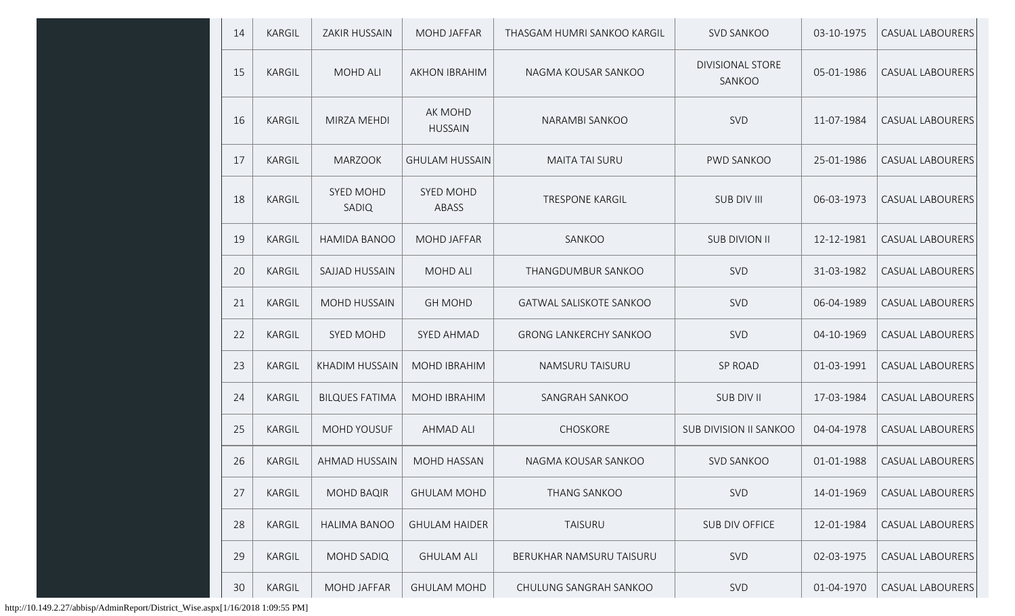| 14 | <b>KARGIL</b> | <b>ZAKIR HUSSAIN</b>      | <b>MOHD JAFFAR</b>        | THASGAM HUMRI SANKOO KARGIL    | SVD SANKOO                        | 03-10-1975 | <b>CASUAL LABOURERS</b> |
|----|---------------|---------------------------|---------------------------|--------------------------------|-----------------------------------|------------|-------------------------|
| 15 | <b>KARGIL</b> | <b>MOHD ALI</b>           | <b>AKHON IBRAHIM</b>      | NAGMA KOUSAR SANKOO            | <b>DIVISIONAL STORE</b><br>SANKOO | 05-01-1986 | <b>CASUAL LABOURERS</b> |
| 16 | <b>KARGIL</b> | MIRZA MEHDI               | AK MOHD<br><b>HUSSAIN</b> | NARAMBI SANKOO                 | SVD                               | 11-07-1984 | <b>CASUAL LABOURERS</b> |
| 17 | <b>KARGIL</b> | <b>MARZOOK</b>            | <b>GHULAM HUSSAIN</b>     | <b>MAITA TAI SURU</b>          | PWD SANKOO                        | 25-01-1986 | <b>CASUAL LABOURERS</b> |
| 18 | KARGIL        | <b>SYED MOHD</b><br>SADIQ | SYED MOHD<br>ABASS        | <b>TRESPONE KARGIL</b>         | <b>SUB DIV III</b>                | 06-03-1973 | <b>CASUAL LABOURERS</b> |
| 19 | <b>KARGIL</b> | HAMIDA BANOO              | <b>MOHD JAFFAR</b>        | SANKOO                         | <b>SUB DIVION II</b>              | 12-12-1981 | <b>CASUAL LABOURERS</b> |
| 20 | KARGIL        | SAJJAD HUSSAIN            | MOHD ALI                  | THANGDUMBUR SANKOO             | SVD                               | 31-03-1982 | <b>CASUAL LABOURERS</b> |
| 21 | <b>KARGIL</b> | <b>MOHD HUSSAIN</b>       | <b>GH MOHD</b>            | <b>GATWAL SALISKOTE SANKOO</b> | SVD                               | 06-04-1989 | <b>CASUAL LABOURERS</b> |
| 22 | <b>KARGIL</b> | SYED MOHD                 | <b>SYED AHMAD</b>         | <b>GRONG LANKERCHY SANKOO</b>  | SVD                               | 04-10-1969 | <b>CASUAL LABOURERS</b> |
| 23 | <b>KARGIL</b> | <b>KHADIM HUSSAIN</b>     | <b>MOHD IBRAHIM</b>       | NAMSURU TAISURU                | <b>SP ROAD</b>                    | 01-03-1991 | <b>CASUAL LABOURERS</b> |
| 24 | KARGIL        | <b>BILQUES FATIMA</b>     | <b>MOHD IBRAHIM</b>       | SANGRAH SANKOO                 | SUB DIV II                        | 17-03-1984 | <b>CASUAL LABOURERS</b> |
| 25 | <b>KARGIL</b> | MOHD YOUSUF               | <b>AHMAD ALI</b>          | CHOSKORE                       | SUB DIVISION II SANKOO            | 04-04-1978 | <b>CASUAL LABOURERS</b> |
| 26 | <b>KARGIL</b> | <b>AHMAD HUSSAIN</b>      | <b>MOHD HASSAN</b>        | NAGMA KOUSAR SANKOO            | <b>SVD SANKOO</b>                 | 01-01-1988 | <b>CASUAL LABOURERS</b> |
| 27 | <b>KARGIL</b> | <b>MOHD BAQIR</b>         | <b>GHULAM MOHD</b>        | <b>THANG SANKOO</b>            | <b>SVD</b>                        | 14-01-1969 | <b>CASUAL LABOURERS</b> |
| 28 | <b>KARGIL</b> | <b>HALIMA BANOO</b>       | <b>GHULAM HAIDER</b>      | TAISURU                        | SUB DIV OFFICE                    | 12-01-1984 | <b>CASUAL LABOURERS</b> |
| 29 | <b>KARGIL</b> | MOHD SADIQ                | <b>GHULAM ALI</b>         | BERUKHAR NAMSURU TAISURU       | SVD                               | 02-03-1975 | <b>CASUAL LABOURERS</b> |
| 30 | KARGIL        | MOHD JAFFAR               | <b>GHULAM MOHD</b>        | CHULUNG SANGRAH SANKOO         | SVD                               | 01-04-1970 | CASUAL LABOURERS        |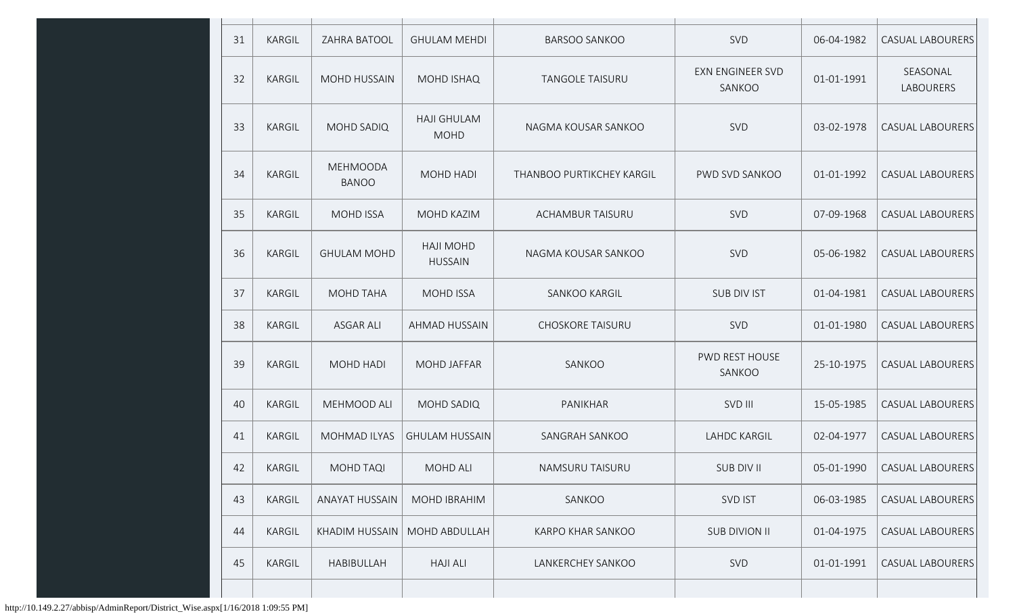| 31 | KARGIL        | ZAHRA BATOOL                    | <b>GHULAM MEHDI</b>                | <b>BARSOO SANKOO</b>      | SVD                               | 06-04-1982 | <b>CASUAL LABOURERS</b>      |
|----|---------------|---------------------------------|------------------------------------|---------------------------|-----------------------------------|------------|------------------------------|
| 32 | KARGIL        | <b>MOHD HUSSAIN</b>             | <b>MOHD ISHAQ</b>                  | <b>TANGOLE TAISURU</b>    | <b>EXN ENGINEER SVD</b><br>SANKOO | 01-01-1991 | SEASONAL<br><b>LABOURERS</b> |
| 33 | <b>KARGIL</b> | <b>MOHD SADIQ</b>               | <b>HAJI GHULAM</b><br><b>MOHD</b>  | NAGMA KOUSAR SANKOO       | SVD                               | 03-02-1978 | <b>CASUAL LABOURERS</b>      |
| 34 | KARGIL        | <b>MEHMOODA</b><br><b>BANOO</b> | <b>MOHD HADI</b>                   | THANBOO PURTIKCHEY KARGIL | PWD SVD SANKOO                    | 01-01-1992 | <b>CASUAL LABOURERS</b>      |
| 35 | KARGIL        | <b>MOHD ISSA</b>                | MOHD KAZIM                         | <b>ACHAMBUR TAISURU</b>   | SVD                               | 07-09-1968 | <b>CASUAL LABOURERS</b>      |
| 36 | <b>KARGIL</b> | <b>GHULAM MOHD</b>              | <b>HAJI MOHD</b><br><b>HUSSAIN</b> | NAGMA KOUSAR SANKOO       | SVD                               | 05-06-1982 | <b>CASUAL LABOURERS</b>      |
| 37 | <b>KARGIL</b> | <b>MOHD TAHA</b>                | <b>MOHD ISSA</b>                   | SANKOO KARGIL             | <b>SUB DIV IST</b>                | 01-04-1981 | <b>CASUAL LABOURERS</b>      |
| 38 | KARGIL        | <b>ASGAR ALI</b>                | <b>AHMAD HUSSAIN</b>               | <b>CHOSKORE TAISURU</b>   | <b>SVD</b>                        | 01-01-1980 | <b>CASUAL LABOURERS</b>      |
| 39 | <b>KARGIL</b> | MOHD HADI                       | <b>MOHD JAFFAR</b>                 | SANKOO                    | PWD REST HOUSE<br>SANKOO          | 25-10-1975 | <b>CASUAL LABOURERS</b>      |
| 40 | <b>KARGIL</b> | MEHMOOD ALI                     | <b>MOHD SADIQ</b>                  | PANIKHAR                  | SVD III                           | 15-05-1985 | <b>CASUAL LABOURERS</b>      |
| 41 | <b>KARGIL</b> | <b>MOHMAD ILYAS</b>             | <b>GHULAM HUSSAIN</b>              | SANGRAH SANKOO            | <b>LAHDC KARGIL</b>               | 02-04-1977 | <b>CASUAL LABOURERS</b>      |
| 42 | <b>KARGIL</b> | MOHD TAQI                       | MOHD ALI                           | NAMSURU TAISURU           | SUB DIV II                        | 05-01-1990 | CASUAL LABOURERS             |
| 43 | KARGIL        | ANAYAT HUSSAIN                  | <b>MOHD IBRAHIM</b>                | SANKOO                    | SVD IST                           | 06-03-1985 | CASUAL LABOURERS             |
| 44 | <b>KARGIL</b> | KHADIM HUSSAIN                  | MOHD ABDULLAH                      | <b>KARPO KHAR SANKOO</b>  | <b>SUB DIVION II</b>              | 01-04-1975 | <b>CASUAL LABOURERS</b>      |
| 45 | <b>KARGIL</b> | HABIBULLAH                      | <b>HAJI ALI</b>                    | LANKERCHEY SANKOO         | SVD                               | 01-01-1991 | <b>CASUAL LABOURERS</b>      |
|    |               |                                 |                                    |                           |                                   |            |                              |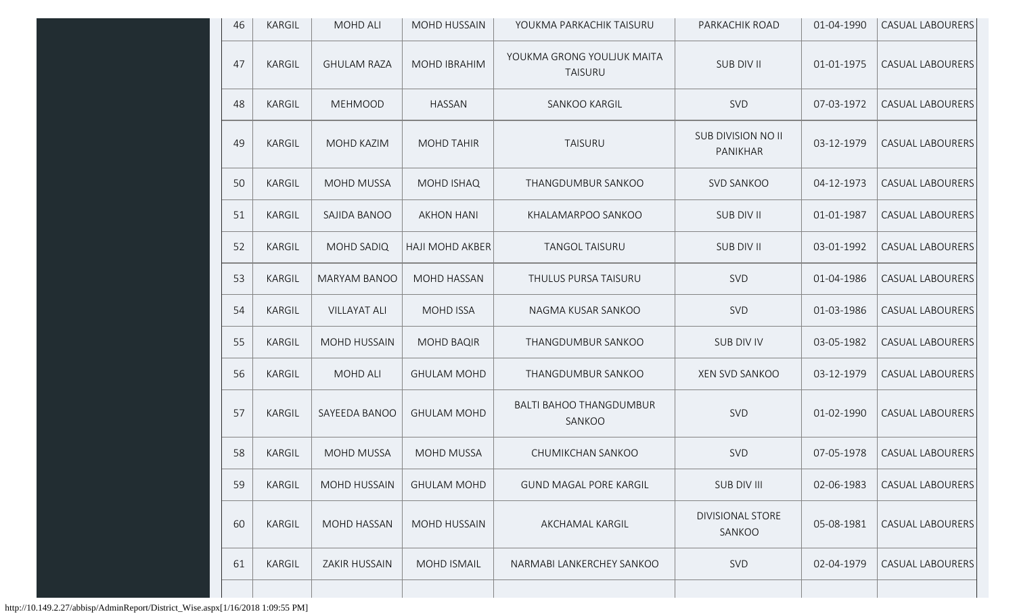| 46 | KARGIL        | <b>MOHD ALI</b>      | <b>MOHD HUSSAIN</b>    | YOUKMA PARKACHIK TAISURU                     | PARKACHIK ROAD                        | 01-04-1990 | <b>CASUAL LABOURERS</b> |
|----|---------------|----------------------|------------------------|----------------------------------------------|---------------------------------------|------------|-------------------------|
| 47 | KARGIL        | <b>GHULAM RAZA</b>   | <b>MOHD IBRAHIM</b>    | YOUKMA GRONG YOULJUK MAITA<br><b>TAISURU</b> | SUB DIV II                            | 01-01-1975 | <b>CASUAL LABOURERS</b> |
| 48 | KARGIL        | <b>MEHMOOD</b>       | <b>HASSAN</b>          | SANKOO KARGIL                                | SVD                                   | 07-03-1972 | <b>CASUAL LABOURERS</b> |
| 49 | <b>KARGIL</b> | MOHD KAZIM           | <b>MOHD TAHIR</b>      | <b>TAISURU</b>                               | <b>SUB DIVISION NO II</b><br>PANIKHAR | 03-12-1979 | <b>CASUAL LABOURERS</b> |
| 50 | KARGIL        | <b>MOHD MUSSA</b>    | MOHD ISHAQ             | THANGDUMBUR SANKOO                           | <b>SVD SANKOO</b>                     | 04-12-1973 | <b>CASUAL LABOURERS</b> |
| 51 | KARGIL        | SAJIDA BANOO         | <b>AKHON HANI</b>      | KHALAMARPOO SANKOO                           | SUB DIV II                            | 01-01-1987 | <b>CASUAL LABOURERS</b> |
| 52 | KARGIL        | MOHD SADIQ           | <b>HAJI MOHD AKBER</b> | <b>TANGOL TAISURU</b>                        | SUB DIV II                            | 03-01-1992 | <b>CASUAL LABOURERS</b> |
| 53 | KARGIL        | <b>MARYAM BANOO</b>  | MOHD HASSAN            | THULUS PURSA TAISURU                         | SVD                                   | 01-04-1986 | <b>CASUAL LABOURERS</b> |
| 54 | KARGIL        | <b>VILLAYAT ALI</b>  | <b>MOHD ISSA</b>       | NAGMA KUSAR SANKOO                           | SVD                                   | 01-03-1986 | <b>CASUAL LABOURERS</b> |
| 55 | KARGIL        | MOHD HUSSAIN         | <b>MOHD BAQIR</b>      | THANGDUMBUR SANKOO                           | SUB DIV IV                            | 03-05-1982 | <b>CASUAL LABOURERS</b> |
| 56 | KARGIL        | <b>MOHD ALI</b>      | <b>GHULAM MOHD</b>     | THANGDUMBUR SANKOO                           | <b>XEN SVD SANKOO</b>                 | 03-12-1979 | <b>CASUAL LABOURERS</b> |
| 57 | KARGIL        | SAYEEDA BANOO        | <b>GHULAM MOHD</b>     | <b>BALTI BAHOO THANGDUMBUR</b><br>SANKOO     | <b>SVD</b>                            | 01-02-1990 | <b>CASUAL LABOURERS</b> |
| 58 | <b>KARGIL</b> | MOHD MUSSA           | <b>MOHD MUSSA</b>      | CHUMIKCHAN SANKOO                            | SVD                                   | 07-05-1978 | <b>CASUAL LABOURERS</b> |
| 59 | KARGIL        | <b>MOHD HUSSAIN</b>  | <b>GHULAM MOHD</b>     | <b>GUND MAGAL PORE KARGIL</b>                | SUB DIV III                           | 02-06-1983 | <b>CASUAL LABOURERS</b> |
| 60 | KARGIL        | MOHD HASSAN          | MOHD HUSSAIN           | AKCHAMAL KARGIL                              | <b>DIVISIONAL STORE</b><br>SANKOO     | 05-08-1981 | CASUAL LABOURERS        |
| 61 | KARGIL        | <b>ZAKIR HUSSAIN</b> | MOHD ISMAIL            | NARMABI LANKERCHEY SANKOO                    | SVD                                   | 02-04-1979 | <b>CASUAL LABOURERS</b> |
|    |               |                      |                        |                                              |                                       |            |                         |